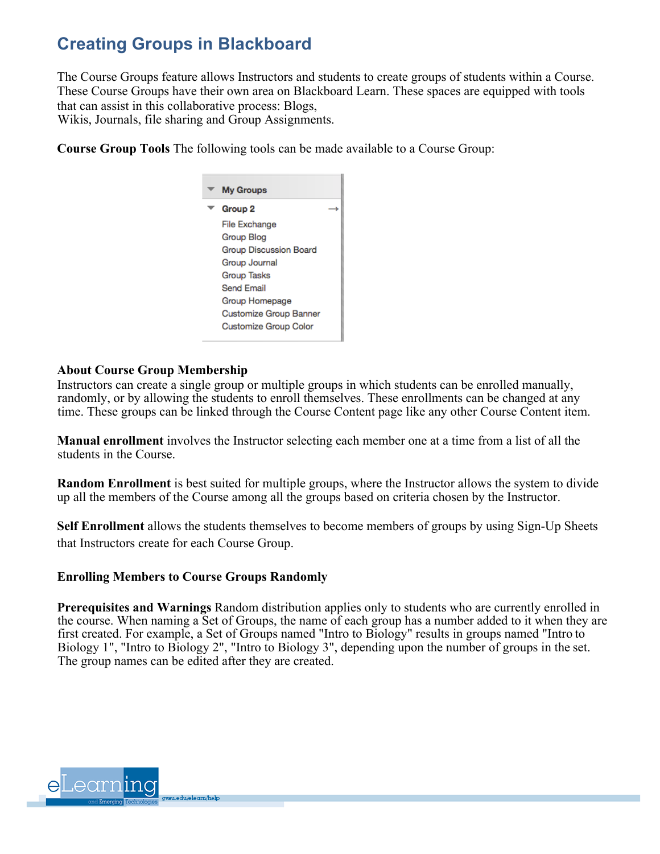# **Creating Groups in Blackboard**

The Course Groups feature allows Instructors and students to create groups of students within a Course. These Course Groups have their own area on Blackboard Learn. These spaces are equipped with tools that can assist in this collaborative process: Blogs,

Wikis, Journals, file sharing and Group Assignments.

**Course Group Tools** The following tools can be made available to a Course Group:



#### **About Course Group Membership**

Instructors can create a single group or multiple groups in which students can be enrolled manually, randomly, or by allowing the students to enroll themselves. These enrollments can be changed at any time. These groups can be linked through the Course Content page like any other Course Content item.

**Manual enrollment** involves the Instructor selecting each member one at a time from a list of all the students in the Course.

**Random Enrollment** is best suited for multiple groups, where the Instructor allows the system to divide up all the members of the Course among all the groups based on criteria chosen by the Instructor.

**Self Enrollment** allows the students themselves to become members of groups by using Sign-Up Sheets that Instructors create for each Course Group.

#### **Enrolling Members to Course Groups Randomly**

**Prerequisites and Warnings** Random distribution applies only to students who are currently enrolled in the course. When naming a Set of Groups, the name of each group has a number added to it when they are first created. For example, a Set of Groups named "Intro to Biology" results in groups named "Intro to Biology 1", "Intro to Biology 2", "Intro to Biology 3", depending upon the number of groups in the set. The group names can be edited after they are created.

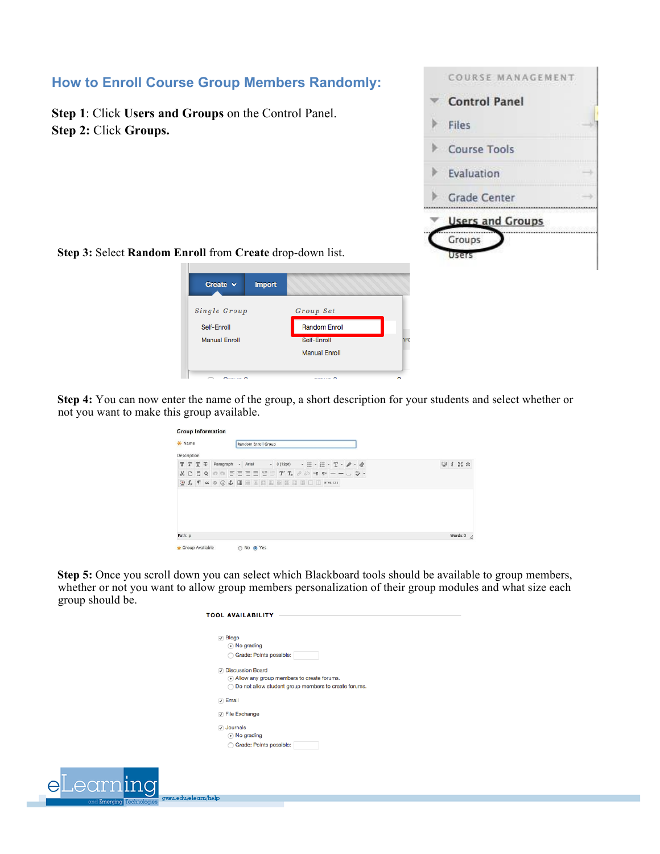

**Step 3:** Select **Random Enroll** from **Create** drop-down list.

**Step 2:** Click **Groups.**



**Step 4:** You can now enter the name of the group, a short description for your students and select whether or not you want to make this group available.

|             | * Name  |                                               |                                                                                                                                                                                                                                           |           |    |       | Random Enroll Group |                              |  |  |      |            |                                                                                                   |                         |                       |
|-------------|---------|-----------------------------------------------|-------------------------------------------------------------------------------------------------------------------------------------------------------------------------------------------------------------------------------------------|-----------|----|-------|---------------------|------------------------------|--|--|------|------------|---------------------------------------------------------------------------------------------------|-------------------------|-----------------------|
| Description |         |                                               |                                                                                                                                                                                                                                           |           |    |       |                     |                              |  |  |      |            |                                                                                                   |                         |                       |
| т           |         | $T$ T $\overline{+}$                          |                                                                                                                                                                                                                                           | Paragraph | ÷. | Arial |                     | $-3(12pt)$                   |  |  |      |            | $\cdot \equiv \cdot \varepsilon \cdot \mathbf{T} \cdot \boldsymbol{\rho} \cdot \boldsymbol{\phi}$ | $\overline{\mathbf{u}}$ | $i \geq \infty$       |
| $\chi$      | $\Box$  | $\begin{array}{c} 2 & 0 \\ 0 & 0 \end{array}$ | $\mathfrak{m} \; \mathfrak{m} \; \equiv \; \Xi \; \equiv \; \Xi \; \equiv \; \Xi \; \equiv \; \mathbf{T}^x \; \mathbf{T}_x \; \; \mathop{\partial} \; \mathop{\partial}^{\mathop{\varepsilon}} \; \mathop{\mathsf{M}} \; \; \mathbf{f}^x$ |           |    |       |                     |                              |  |  | $-1$ | <b>COL</b> | ツ・                                                                                                |                         |                       |
|             |         |                                               | $\circledcirc$ $f_x$ $\mathsf{T}$ $\omega$ $\circledcirc$ $\mathsf{L}$                                                                                                                                                                    |           |    |       |                     | <b>田田田田田田田田田 □□ HTML CSS</b> |  |  |      |            |                                                                                                   |                         |                       |
|             |         |                                               |                                                                                                                                                                                                                                           |           |    |       |                     |                              |  |  |      |            |                                                                                                   |                         |                       |
|             | Path: p |                                               |                                                                                                                                                                                                                                           |           |    |       |                     |                              |  |  |      |            |                                                                                                   |                         | Words:0 $\frac{1}{2}$ |

**Step 5:** Once you scroll down you can select which Blackboard tools should be available to group members, whether or not you want to allow group members personalization of their group modules and what size each group should be.

|                  | <b>TOOL AVAILABILITY</b>                                                                                                       |
|------------------|--------------------------------------------------------------------------------------------------------------------------------|
| $\sqrt{ }$ Blogs | (•) No grading<br>Grade: Points possible:                                                                                      |
|                  | <b>Discussion Board</b><br>• Allow any group members to create forums.<br>Do not allow student group members to create forums. |
| $\nabla$ Email   |                                                                                                                                |
|                  | <b>V</b> File Exchange                                                                                                         |
|                  | Journals<br>(•) No grading<br>Grade: Points possible:                                                                          |

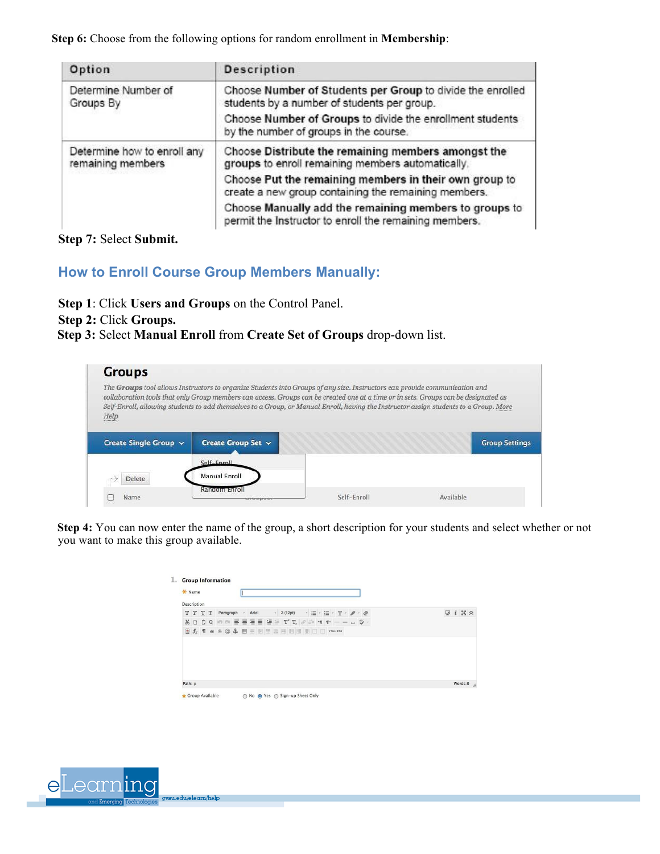**Step 6:** Choose from the following options for random enrollment in **Membership**:

| Option                                           | <b>Description</b>                                                                                               |
|--------------------------------------------------|------------------------------------------------------------------------------------------------------------------|
| Determine Number of<br>Groups By                 | Choose Number of Students per Group to divide the enrolled<br>students by a number of students per group.        |
|                                                  | Choose Number of Groups to divide the enrollment students<br>by the number of groups in the course.              |
| Determine how to enroll any<br>remaining members | Choose Distribute the remaining members amongst the<br>groups to enroll remaining members automatically.         |
|                                                  | Choose Put the remaining members in their own group to<br>create a new group containing the remaining members.   |
|                                                  | Choose Manually add the remaining members to groups to<br>permit the Instructor to enroll the remaining members. |

**Step 7:** Select **Submit.**

## **How to Enroll Course Group Members Manually:**

- **Step 1**: Click **Users and Groups** on the Control Panel.
- **Step 2:** Click **Groups.**
- **Step 3:** Select **Manual Enroll** from **Create Set of Groups** drop-down list.

| <b>Groups</b>         |                                                                                                                                                                                                                                                                                                                                                                                                            |             |                       |
|-----------------------|------------------------------------------------------------------------------------------------------------------------------------------------------------------------------------------------------------------------------------------------------------------------------------------------------------------------------------------------------------------------------------------------------------|-------------|-----------------------|
| Help                  | The Groups tool allows Instructors to organize Students into Groups of any size. Instructors can provide communication and<br>collaboration tools that only Group members can access. Groups can be created one at a time or in sets. Groups can be designated as<br>Self-Enroll, allowing students to add themselves to a Group, or Manual Enroll, having the Instructor assign students to a Group. More |             |                       |
| Create Single Group v | Create Group Set ~                                                                                                                                                                                                                                                                                                                                                                                         |             | <b>Group Settings</b> |
|                       | Self-Enroll                                                                                                                                                                                                                                                                                                                                                                                                |             |                       |
| Delete                | <b>Manual Enroll</b>                                                                                                                                                                                                                                                                                                                                                                                       |             |                       |
| Name                  | Random Enrol                                                                                                                                                                                                                                                                                                                                                                                               | Self-Enroll | Available             |

**Step 4:** You can now enter the name of the group, a short description for your students and select whether or not you want to make this group available.

| * Name      |         |         |  |           |  |         |  |                                                                         |  |  |                                                                                                                                                                                                                                                                                                                                                                                                                                                                                                                                         |  |  |                    |                       |
|-------------|---------|---------|--|-----------|--|---------|--|-------------------------------------------------------------------------|--|--|-----------------------------------------------------------------------------------------------------------------------------------------------------------------------------------------------------------------------------------------------------------------------------------------------------------------------------------------------------------------------------------------------------------------------------------------------------------------------------------------------------------------------------------------|--|--|--------------------|-----------------------|
| Description |         |         |  |           |  |         |  |                                                                         |  |  |                                                                                                                                                                                                                                                                                                                                                                                                                                                                                                                                         |  |  |                    |                       |
|             |         | T T T T |  | Paragraph |  | - Arial |  | $-3(12pt)$                                                              |  |  | $\cdot \equiv \cdot \equiv \cdot \mathop{\mathbb{T}}\nolimits \cdot \mathop{\mathscr{P}}\nolimits \cdot \mathop{\mathscr{Q}}\nolimits$                                                                                                                                                                                                                                                                                                                                                                                                  |  |  | $Q$ $i$ $N \times$ |                       |
|             |         | X D Q Q |  |           |  |         |  |                                                                         |  |  | $\mathbb{R}^n \oplus \mathbb{R}^n \equiv \mathbb{R}^n \equiv \mathbb{R}^n \equiv \mathbb{T}^n \mathbb{T}_n \not \in \mathcal{P} \Rightarrow \mathbb{R}^n \equiv \mathbb{R}^n \Rightarrow \mathbb{R}^n \Rightarrow \mathbb{R}^n \Rightarrow \mathbb{R}^n \Rightarrow \mathbb{R}^n \Rightarrow \mathbb{R}^n \Rightarrow \mathbb{R}^n \Rightarrow \mathbb{R}^n \Rightarrow \mathbb{R}^n \Rightarrow \mathbb{R}^n \Rightarrow \mathbb{R}^n \Rightarrow \mathbb{R}^n \Rightarrow \mathbb{R}^n \Rightarrow \mathbb{R}^n \Rightarrow \mathbb{$ |  |  |                    |                       |
|             |         |         |  |           |  |         |  | <b>Of</b> T $\alpha$ O $\odot$ <b>1</b> H H H H H H H H H H I H I H I H |  |  |                                                                                                                                                                                                                                                                                                                                                                                                                                                                                                                                         |  |  |                    |                       |
|             |         |         |  |           |  |         |  |                                                                         |  |  |                                                                                                                                                                                                                                                                                                                                                                                                                                                                                                                                         |  |  |                    |                       |
|             | Path: p |         |  |           |  |         |  |                                                                         |  |  |                                                                                                                                                                                                                                                                                                                                                                                                                                                                                                                                         |  |  |                    | Words:0 $\frac{1}{2}$ |

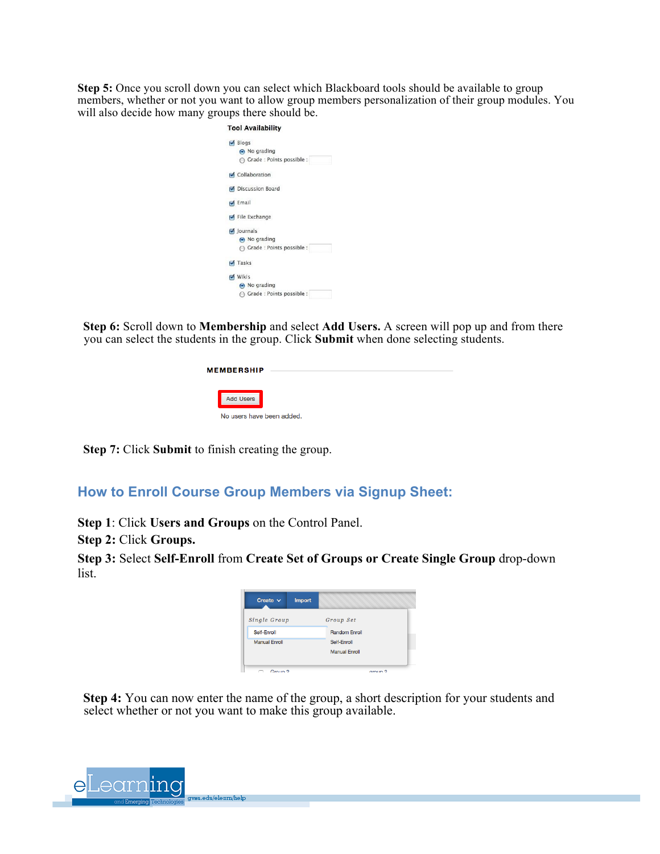**Step 5:** Once you scroll down you can select which Blackboard tools should be available to group members, whether or not you want to allow group members personalization of their group modules. You will also decide how many groups there should be.

| $\sqrt{B}$ Blogs            |
|-----------------------------|
| No grading                  |
| Grade : Points possible :   |
| Collaboration               |
| Discussion Board            |
| $\blacktriangleright$ Email |
| File Exchange               |
| $\triangledown$ Journals    |
| No grading                  |
| Grade : Points possible :   |
| $\sqrt{ }$ Tasks            |
| <b>√</b> Wikis              |
| No grading                  |
| Grade : Points possible :   |

**Step 6:** Scroll down to **Membership** and select **Add Users.** A screen will pop up and from there you can select the students in the group. Click **Submit** when done selecting students.

| <b>MEMBERSHIP</b>         |  |  |  |
|---------------------------|--|--|--|
| <b>Add Users</b>          |  |  |  |
| No users have been added. |  |  |  |

**Step 7:** Click **Submit** to finish creating the group.

### **How to Enroll Course Group Members via Signup Sheet:**

**Step 1**: Click **Users and Groups** on the Control Panel.

**Step 2:** Click **Groups.**

**Step 3:** Select **Self-Enroll** from **Create Set of Groups or Create Single Group** drop-down list.

| Create $\vee$        | <b>Import</b> |                      |
|----------------------|---------------|----------------------|
| <b>Single Group</b>  |               | Group Set            |
| Self-Enroll          |               | <b>Random Enroll</b> |
| <b>Manual Enroll</b> |               | Self-Enroll          |
|                      |               | <b>Manual Enroll</b> |
|                      |               |                      |
| Croup 2              |               | o<br><b>GROUP</b>    |

**Step 4:** You can now enter the name of the group, a short description for your students and select whether or not you want to make this group available.